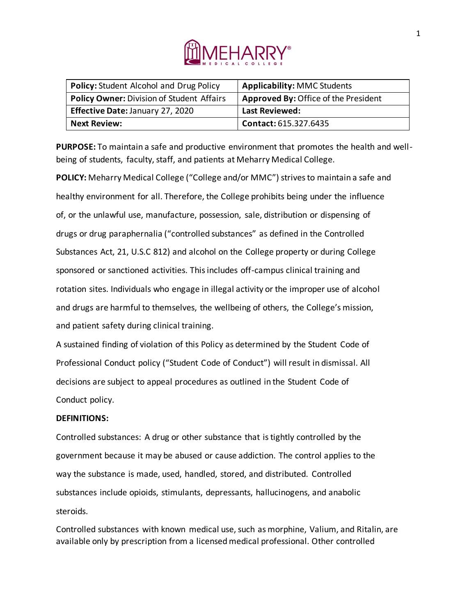

| <b>Policy: Student Alcohol and Drug Policy</b>   | <b>Applicability: MMC Students</b>   |
|--------------------------------------------------|--------------------------------------|
| <b>Policy Owner: Division of Student Affairs</b> | Approved By: Office of the President |
| Effective Date: January 27, 2020                 | <b>Last Reviewed:</b>                |
| <b>Next Review:</b>                              | Contact: 615.327.6435                |

**PURPOSE:** To maintain a safe and productive environment that promotes the health and wellbeing of students, faculty, staff, and patients at Meharry Medical College.

**POLICY:** Meharry Medical College ("College and/or MMC") strives to maintain a safe and healthy environment for all. Therefore, the College prohibits being under the influence of, or the unlawful use, manufacture, possession, sale, distribution or dispensing of drugs or drug paraphernalia ("controlled substances" as defined in the Controlled Substances Act, 21, U.S.C 812) and alcohol on the College property or during College sponsored or sanctioned activities. This includes off-campus clinical training and rotation sites. Individuals who engage in illegal activity or the improper use of alcohol and drugs are harmful to themselves, the wellbeing of others, the College's mission, and patient safety during clinical training.

A sustained finding of violation of this Policy as determined by the Student Code of Professional Conduct policy ("Student Code of Conduct") will result in dismissal. All decisions are subject to appeal procedures as outlined in the Student Code of Conduct policy.

#### **DEFINITIONS:**

Controlled substances: A drug or other substance that is tightly controlled by the government because it may be abused or cause addiction. The control applies to the way the substance is made, used, handled, stored, and distributed. Controlled substances include opioids, stimulants, depressants, hallucinogens, and anabolic steroids.

Controlled substances with known medical use, such as morphine, Valium, and Ritalin, are available only by prescription from a licensed medical professional. Other controlled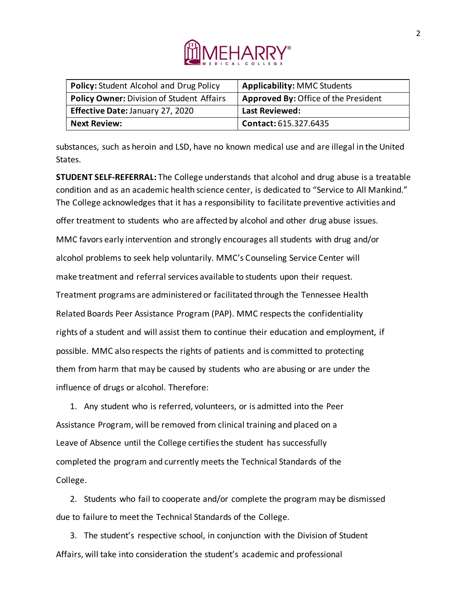

| <b>Policy: Student Alcohol and Drug Policy</b> | <b>Applicability: MMC Students</b>   |
|------------------------------------------------|--------------------------------------|
| Policy Owner: Division of Student Affairs      | Approved By: Office of the President |
| Effective Date: January 27, 2020               | <b>Last Reviewed:</b>                |
| <b>Next Review:</b>                            | <b>Contact: 615.327.6435</b>         |

substances, such as heroin and LSD, have no known medical use and are illegal in the United States.

**STUDENT SELF-REFERRAL:** The College understands that alcohol and drug abuse is a treatable condition and as an academic health science center, is dedicated to "Service to All Mankind." The College acknowledges that it has a responsibility to facilitate preventive activities and offer treatment to students who are affected by alcohol and other drug abuse issues. MMC favors early intervention and strongly encourages all students with drug and/or alcohol problems to seek help voluntarily. MMC's Counseling Service Center will make treatment and referral services available to students upon their request. Treatment programs are administered or facilitated through the Tennessee Health Related Boards Peer Assistance Program (PAP). MMC respects the confidentiality rights of a student and will assist them to continue their education and employment, if possible. MMC also respects the rights of patients and is committed to protecting them from harm that may be caused by students who are abusing or are under the influence of drugs or alcohol. Therefore:

1. Any student who is referred, volunteers, or is admitted into the Peer Assistance Program, will be removed from clinical training and placed on a Leave of Absence until the College certifies the student has successfully completed the program and currently meets the Technical Standards of the College.

2. Students who fail to cooperate and/or complete the program may be dismissed due to failure to meet the Technical Standards of the College.

3. The student's respective school, in conjunction with the Division of Student Affairs, will take into consideration the student's academic and professional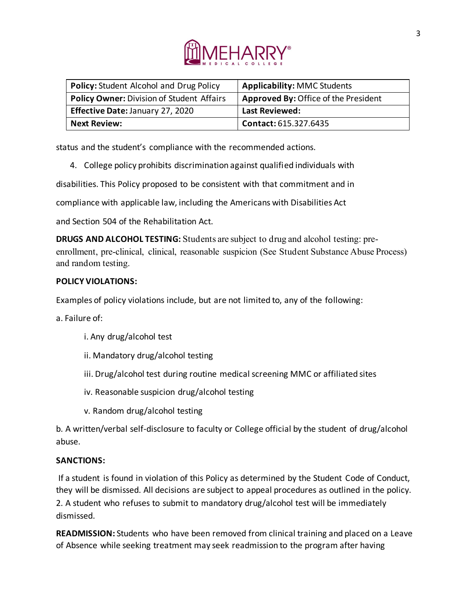

| Policy: Student Alcohol and Drug Policy   | <b>Applicability: MMC Students</b>   |
|-------------------------------------------|--------------------------------------|
| Policy Owner: Division of Student Affairs | Approved By: Office of the President |
| <b>Effective Date: January 27, 2020</b>   | <b>Last Reviewed:</b>                |
| <b>Next Review:</b>                       | Contact: 615.327.6435                |

status and the student's compliance with the recommended actions.

4. College policy prohibits discrimination against qualified individuals with

disabilities. This Policy proposed to be consistent with that commitment and in

compliance with applicable law, including the Americans with Disabilities Act

and Section 504 of the Rehabilitation Act.

**DRUGS AND ALCOHOL TESTING:** Students are subject to drug and alcohol testing: preenrollment, pre-clinical, clinical, reasonable suspicion (See Student Substance Abuse Process) and random testing.

## **POLICY VIOLATIONS:**

Examples of policy violations include, but are not limited to, any of the following:

a. Failure of:

- i. Any drug/alcohol test
- ii. Mandatory drug/alcohol testing
- iii. Drug/alcohol test during routine medical screening MMC or affiliated sites
- iv. Reasonable suspicion drug/alcohol testing
- v. Random drug/alcohol testing

b. A written/verbal self-disclosure to faculty or College official by the student of drug/alcohol abuse.

## **SANCTIONS:**

If a student is found in violation of this Policy as determined by the Student Code of Conduct, they will be dismissed. All decisions are subject to appeal procedures as outlined in the policy. 2. A student who refuses to submit to mandatory drug/alcohol test will be immediately dismissed.

**READMISSION:** Students who have been removed from clinical training and placed on a Leave of Absence while seeking treatment may seek readmission to the program after having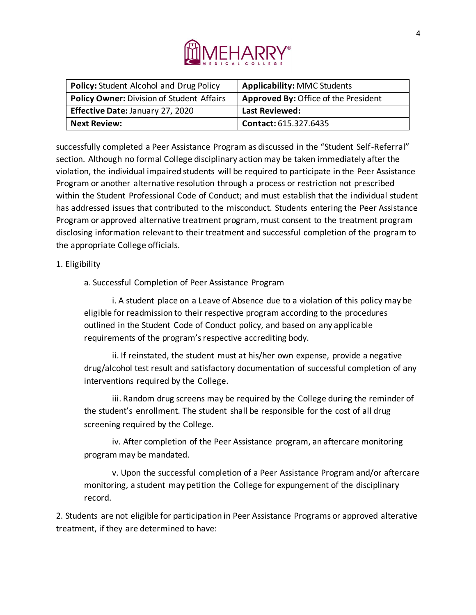

| <b>Policy: Student Alcohol and Drug Policy</b>   | <b>Applicability: MMC Students</b>          |
|--------------------------------------------------|---------------------------------------------|
| <b>Policy Owner: Division of Student Affairs</b> | <b>Approved By: Office of the President</b> |
| <b>Effective Date: January 27, 2020</b>          | Last Reviewed:                              |
| <b>Next Review:</b>                              | Contact: 615.327.6435                       |

successfully completed a Peer Assistance Program as discussed in the "Student Self-Referral" section. Although no formal College disciplinary action may be taken immediately after the violation, the individual impaired students will be required to participate in the Peer Assistance Program or another alternative resolution through a process or restriction not prescribed within the Student Professional Code of Conduct; and must establish that the individual student has addressed issues that contributed to the misconduct. Students entering the Peer Assistance Program or approved alternative treatment program, must consent to the treatment program disclosing information relevant to their treatment and successful completion of the program to the appropriate College officials.

#### 1. Eligibility

a. Successful Completion of Peer Assistance Program

i. A student place on a Leave of Absence due to a violation of this policy may be eligible for readmission to their respective program according to the procedures outlined in the Student Code of Conduct policy, and based on any applicable requirements of the program's respective accrediting body.

ii. If reinstated, the student must at his/her own expense, provide a negative drug/alcohol test result and satisfactory documentation of successful completion of any interventions required by the College.

iii. Random drug screens may be required by the College during the reminder of the student's enrollment. The student shall be responsible for the cost of all drug screening required by the College.

iv. After completion of the Peer Assistance program, an aftercare monitoring program may be mandated.

v. Upon the successful completion of a Peer Assistance Program and/or aftercare monitoring, a student may petition the College for expungement of the disciplinary record.

2. Students are not eligible for participation in Peer Assistance Programs or approved alterative treatment, if they are determined to have: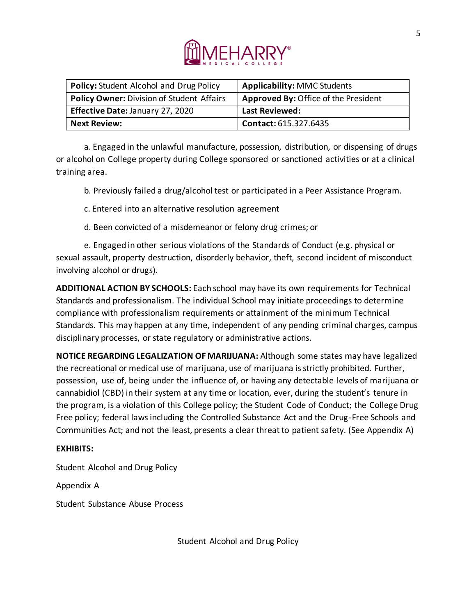

| <b>Policy: Student Alcohol and Drug Policy</b>   | <b>Applicability: MMC Students</b>   |
|--------------------------------------------------|--------------------------------------|
| <b>Policy Owner: Division of Student Affairs</b> | Approved By: Office of the President |
| <b>Effective Date: January 27, 2020</b>          | <b>Last Reviewed:</b>                |
| <b>Next Review:</b>                              | Contact: 615.327.6435                |

a. Engaged in the unlawful manufacture, possession, distribution, or dispensing of drugs or alcohol on College property during College sponsored or sanctioned activities or at a clinical training area.

b. Previously failed a drug/alcohol test or participated in a Peer Assistance Program.

- c. Entered into an alternative resolution agreement
- d. Been convicted of a misdemeanor or felony drug crimes; or

e. Engaged in other serious violations of the Standards of Conduct (e.g. physical or sexual assault, property destruction, disorderly behavior, theft, second incident of misconduct involving alcohol or drugs).

**ADDITIONAL ACTION BY SCHOOLS:** Each school may have its own requirements for Technical Standards and professionalism. The individual School may initiate proceedings to determine compliance with professionalism requirements or attainment of the minimum Technical Standards. This may happen at any time, independent of any pending criminal charges, campus disciplinary processes, or state regulatory or administrative actions.

**NOTICE REGARDING LEGALIZATION OF MARIJUANA:** Although some states may have legalized the recreational or medical use of marijuana, use of marijuana is strictly prohibited. Further, possession, use of, being under the influence of, or having any detectable levels of marijuana or cannabidiol (CBD) in their system at any time or location, ever, during the student's tenure in the program, is a violation of this College policy; the Student Code of Conduct; the College Drug Free policy; federal laws including the Controlled Substance Act and the Drug-Free Schools and Communities Act; and not the least, presents a clear threat to patient safety. (See Appendix A)

## **EXHIBITS:**

Student Alcohol and Drug Policy

Appendix A

Student Substance Abuse Process

Student Alcohol and Drug Policy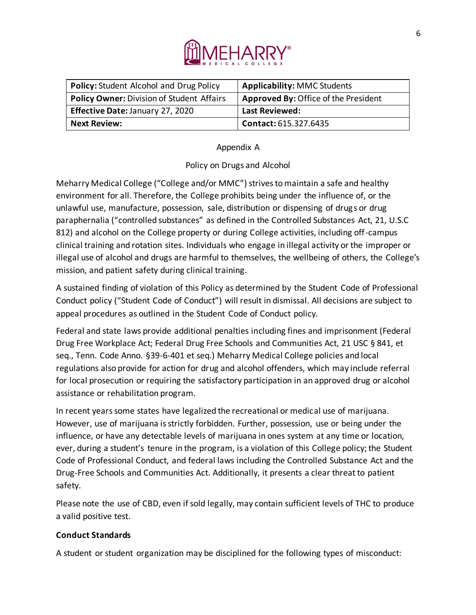

| <b>Policy: Student Alcohol and Drug Policy</b>   | <b>Applicability: MMC Students</b>          |
|--------------------------------------------------|---------------------------------------------|
| <b>Policy Owner: Division of Student Affairs</b> | <b>Approved By: Office of the President</b> |
| <b>Effective Date: January 27, 2020</b>          | <b>Last Reviewed:</b>                       |
| <b>Next Review:</b>                              | <b>Contact: 615.327.6435</b>                |

## Appendix A

## Policy on Drugs and Alcohol

Meharry Medical College ("College and/or MMC") strives to maintain a safe and healthy environment for all. Therefore, the College prohibits being under the influence of, or the unlawful use, manufacture, possession, sale, distribution or dispensing of drugs or drug paraphernalia ("controlled substances" as defined in the Controlled Substances Act, 21, U.S.C 812) and alcohol on the College property or during College activities, including off-campus clinical training and rotation sites. Individuals who engage in illegal activity or the improper or illegal use of alcohol and drugs are harmful to themselves, the wellbeing of others, the College's mission, and patient safety during clinical training.

A sustained finding of violation of this Policy as determined by the Student Code of Professional Conduct policy ("Student Code of Conduct") will result in dismissal. All decisions are subject to appeal procedures as outlined in the Student Code of Conduct policy.

Federal and state laws provide additional penalties including fines and imprisonment (Federal Drug Free Workplace Act; Federal Drug Free Schools and Communities Act, 21 USC § 841, et seq., Tenn. Code Anno. §39-6-401 et seq.) Meharry Medical College policies and local regulations also provide for action for drug and alcohol offenders, which may include referral for local prosecution or requiring the satisfactory participation in an approved drug or alcohol assistance or rehabilitation program.

In recent years some states have legalized the recreational or medical use of marijuana. However, use of marijuana is strictly forbidden. Further, possession, use or being under the influence, or have any detectable levels of marijuana in ones system at any time or location, ever, during a student's tenure in the program, is a violation of this College policy; the Student Code of Professional Conduct, and federal laws including the Controlled Substance Act and the Drug-Free Schools and Communities Act. Additionally, it presents a clear threat to patient safety.

Please note the use of CBD, even if sold legally, may contain sufficient levels of THC to produce a valid positive test.

# **Conduct Standards**

A student or student organization may be disciplined for the following types of misconduct: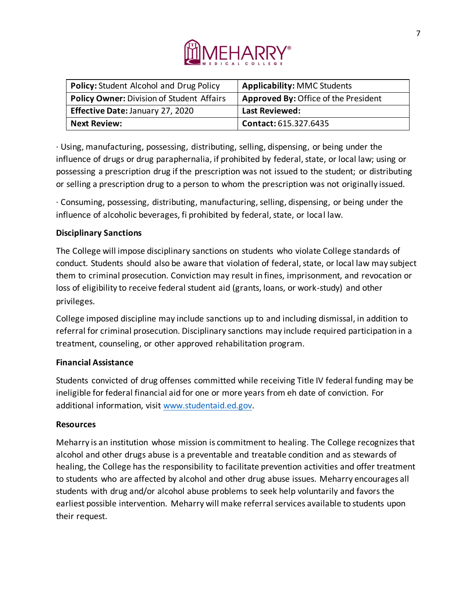

| <b>Policy: Student Alcohol and Drug Policy</b>   | <b>Applicability: MMC Students</b>          |
|--------------------------------------------------|---------------------------------------------|
| <b>Policy Owner: Division of Student Affairs</b> | <b>Approved By: Office of the President</b> |
| Effective Date: January 27, 2020                 | Last Reviewed:                              |
| <b>Next Review:</b>                              | <b>Contact: 615.327.6435</b>                |

· Using, manufacturing, possessing, distributing, selling, dispensing, or being under the influence of drugs or drug paraphernalia, if prohibited by federal, state, or local law; using or possessing a prescription drug if the prescription was not issued to the student; or distributing or selling a prescription drug to a person to whom the prescription was not originally issued.

· Consuming, possessing, distributing, manufacturing, selling, dispensing, or being under the influence of alcoholic beverages, fi prohibited by federal, state, or local law.

## **Disciplinary Sanctions**

The College will impose disciplinary sanctions on students who violate College standards of conduct. Students should also be aware that violation of federal, state, or local law may subject them to criminal prosecution. Conviction may result in fines, imprisonment, and revocation or loss of eligibility to receive federal student aid (grants, loans, or work-study) and other privileges.

College imposed discipline may include sanctions up to and including dismissal, in addition to referral for criminal prosecution. Disciplinary sanctions may include required participation in a treatment, counseling, or other approved rehabilitation program.

## **Financial Assistance**

Students convicted of drug offenses committed while receiving Title IV federal funding may be ineligible for federal financial aid for one or more years from eh date of conviction. For additional information, visit www.studentaid.ed.gov.

#### **Resources**

Meharry is an institution whose mission is commitment to healing. The College recognizes that alcohol and other drugs abuse is a preventable and treatable condition and as stewards of healing, the College has the responsibility to facilitate prevention activities and offer treatment to students who are affected by alcohol and other drug abuse issues. Meharry encourages all students with drug and/or alcohol abuse problems to seek help voluntarily and favors the earliest possible intervention. Meharry will make referral services available to students upon their request.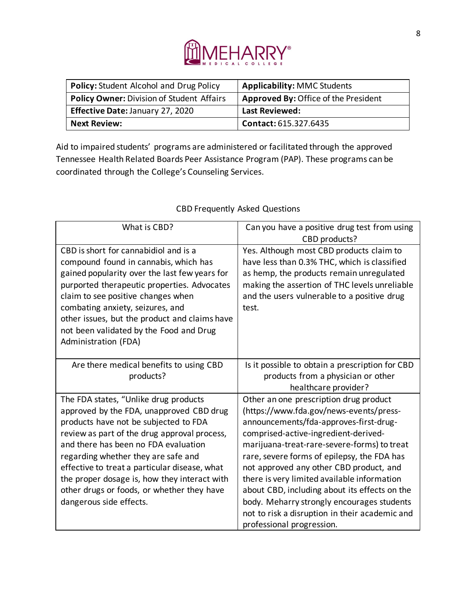

| <b>Policy: Student Alcohol and Drug Policy</b>   | <b>Applicability: MMC Students</b>          |
|--------------------------------------------------|---------------------------------------------|
| <b>Policy Owner: Division of Student Affairs</b> | <b>Approved By: Office of the President</b> |
| <b>Effective Date: January 27, 2020</b>          | <b>Last Reviewed:</b>                       |
| <b>Next Review:</b>                              | <b>Contact: 615.327.6435</b>                |

Aid to impaired students' programs are administered or facilitated through the approved Tennessee Health Related Boards Peer Assistance Program (PAP). These programs can be coordinated through the College's Counseling Services.

| What is CBD?                                                                                                                                                                                                                                                                                                                                                                                                                        | Can you have a positive drug test from using<br>CBD products?                                                                                                                                                                                                                                                                                                                                                                                                                                                                             |
|-------------------------------------------------------------------------------------------------------------------------------------------------------------------------------------------------------------------------------------------------------------------------------------------------------------------------------------------------------------------------------------------------------------------------------------|-------------------------------------------------------------------------------------------------------------------------------------------------------------------------------------------------------------------------------------------------------------------------------------------------------------------------------------------------------------------------------------------------------------------------------------------------------------------------------------------------------------------------------------------|
| CBD is short for cannabidiol and is a<br>compound found in cannabis, which has<br>gained popularity over the last few years for<br>purported therapeutic properties. Advocates<br>claim to see positive changes when<br>combating anxiety, seizures, and<br>other issues, but the product and claims have<br>not been validated by the Food and Drug<br>Administration (FDA)                                                        | Yes. Although most CBD products claim to<br>have less than 0.3% THC, which is classified<br>as hemp, the products remain unregulated<br>making the assertion of THC levels unreliable<br>and the users vulnerable to a positive drug<br>test.                                                                                                                                                                                                                                                                                             |
| Are there medical benefits to using CBD<br>products?                                                                                                                                                                                                                                                                                                                                                                                | Is it possible to obtain a prescription for CBD<br>products from a physician or other<br>healthcare provider?                                                                                                                                                                                                                                                                                                                                                                                                                             |
| The FDA states, "Unlike drug products<br>approved by the FDA, unapproved CBD drug<br>products have not be subjected to FDA<br>review as part of the drug approval process,<br>and there has been no FDA evaluation<br>regarding whether they are safe and<br>effective to treat a particular disease, what<br>the proper dosage is, how they interact with<br>other drugs or foods, or whether they have<br>dangerous side effects. | Other an one prescription drug product<br>(https://www.fda.gov/news-events/press-<br>announcements/fda-approves-first-drug-<br>comprised-active-ingredient-derived-<br>marijuana-treat-rare-severe-forms) to treat<br>rare, severe forms of epilepsy, the FDA has<br>not approved any other CBD product, and<br>there is very limited available information<br>about CBD, including about its effects on the<br>body. Meharry strongly encourages students<br>not to risk a disruption in their academic and<br>professional progression. |

# CBD Frequently Asked Questions